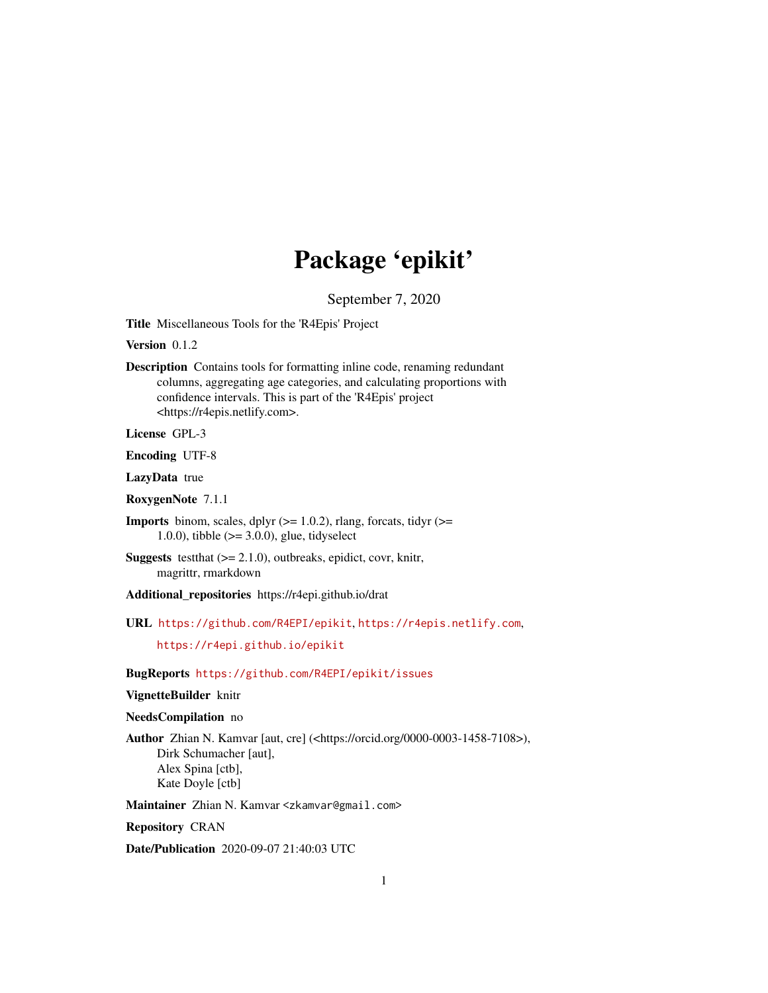# Package 'epikit'

September 7, 2020

<span id="page-0-0"></span>Title Miscellaneous Tools for the 'R4Epis' Project

Version 0.1.2

Description Contains tools for formatting inline code, renaming redundant columns, aggregating age categories, and calculating proportions with confidence intervals. This is part of the 'R4Epis' project <https://r4epis.netlify.com>.

License GPL-3

Encoding UTF-8

LazyData true

RoxygenNote 7.1.1

**Imports** binom, scales, dplyr  $(>= 1.0.2)$ , rlang, forcats, tidyr  $(>=$ 1.0.0), tibble  $(>= 3.0.0)$ , glue, tidyselect

**Suggests** test that  $(>= 2.1.0)$ , outbreaks, epidict, covr, knitr, magrittr, rmarkdown

Additional\_repositories https://r4epi.github.io/drat

URL <https://github.com/R4EPI/epikit>, <https://r4epis.netlify.com>,

<https://r4epi.github.io/epikit>

BugReports <https://github.com/R4EPI/epikit/issues>

#### VignetteBuilder knitr

#### NeedsCompilation no

Author Zhian N. Kamvar [aut, cre] (<https://orcid.org/0000-0003-1458-7108>), Dirk Schumacher [aut], Alex Spina [ctb], Kate Doyle [ctb]

Maintainer Zhian N. Kamvar <zkamvar@gmail.com>

Repository CRAN

Date/Publication 2020-09-07 21:40:03 UTC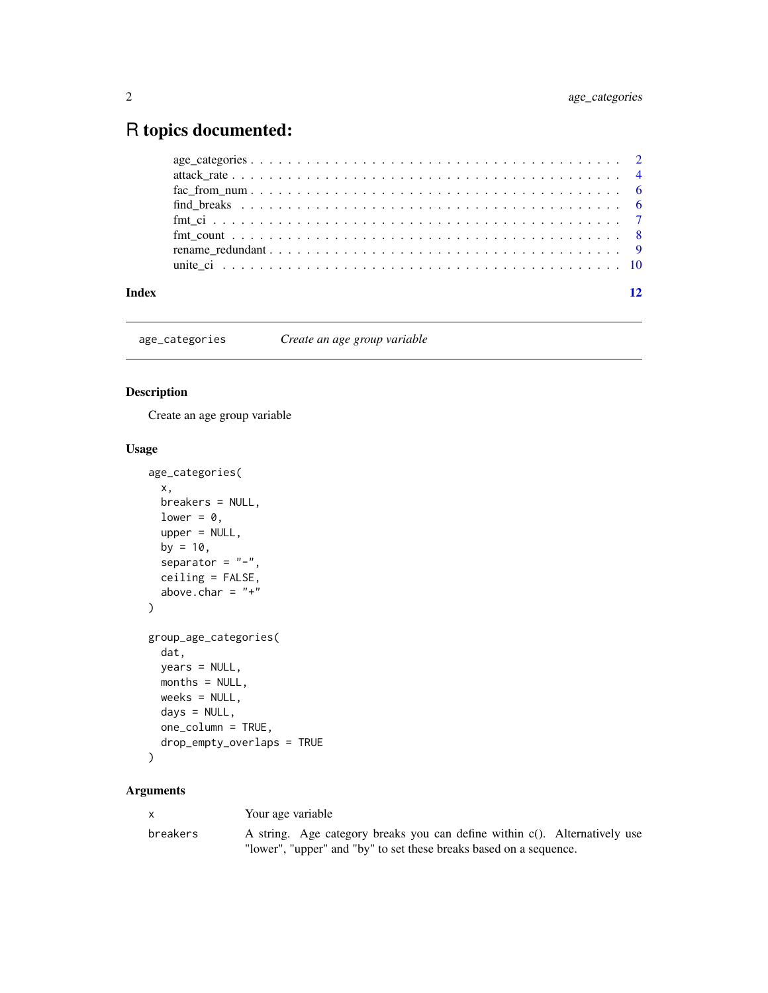## <span id="page-1-0"></span>R topics documented:

| Index | 12 |
|-------|----|
|       |    |
|       |    |
|       |    |
|       |    |
|       |    |
|       |    |
|       |    |
|       |    |

age\_categories *Create an age group variable*

#### Description

Create an age group variable

### Usage

```
age_categories(
  x,
  breakers = NULL,
  lower = 0,
  upper = NULL,
  by = 10,separator = "-",
  ceiling = FALSE,
  above.char = "+"\overline{\phantom{a}}group_age_categories(
  dat,
  years = NULL,
  months = NULL,
  weeks = NULL,days = NULL,
  one_column = TRUE,
  drop_empty_overlaps = TRUE
\mathcal{L}
```

| $\mathsf{x}$ | Your age variable                                                          |
|--------------|----------------------------------------------------------------------------|
| breakers     | A string. Age category breaks you can define within c(). Alternatively use |
|              | "lower", "upper" and "by" to set these breaks based on a sequence.         |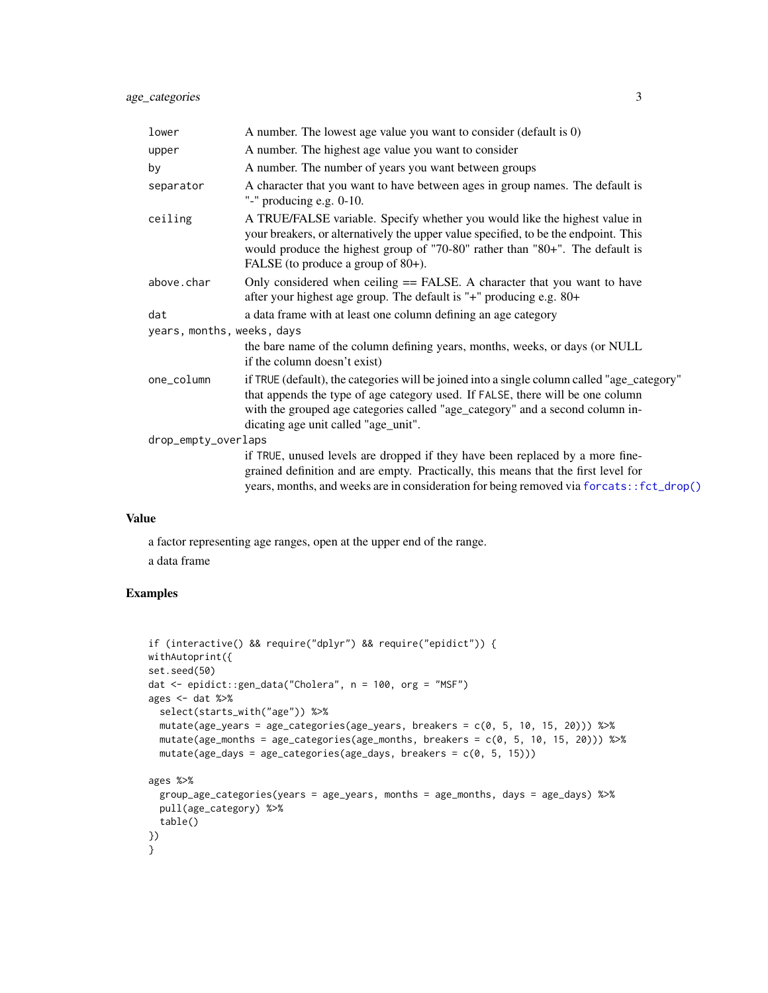<span id="page-2-0"></span>

| lower                             | A number. The lowest age value you want to consider (default is 0)                                                                                                                                                                                                                                     |
|-----------------------------------|--------------------------------------------------------------------------------------------------------------------------------------------------------------------------------------------------------------------------------------------------------------------------------------------------------|
| upper                             | A number. The highest age value you want to consider                                                                                                                                                                                                                                                   |
| by                                | A number. The number of years you want between groups                                                                                                                                                                                                                                                  |
| separator                         | A character that you want to have between ages in group names. The default is<br>"-" producing e.g. $0-10$ .                                                                                                                                                                                           |
| ceiling                           | A TRUE/FALSE variable. Specify whether you would like the highest value in<br>your breakers, or alternatively the upper value specified, to be the endpoint. This<br>would produce the highest group of "70-80" rather than "80+". The default is<br>FALSE (to produce a group of 80+).                |
| above.char                        | Only considered when ceiling == FALSE. A character that you want to have<br>after your highest age group. The default is "+" producing e.g. 80+                                                                                                                                                        |
| dat<br>years, months, weeks, days | a data frame with at least one column defining an age category                                                                                                                                                                                                                                         |
|                                   | the bare name of the column defining years, months, weeks, or days (or NULL<br>if the column doesn't exist)                                                                                                                                                                                            |
| one_column                        | if TRUE (default), the categories will be joined into a single column called "age_category"<br>that appends the type of age category used. If FALSE, there will be one column<br>with the grouped age categories called "age_category" and a second column in-<br>dicating age unit called "age_unit". |
| drop_empty_overlaps               |                                                                                                                                                                                                                                                                                                        |
|                                   | if TRUE, unused levels are dropped if they have been replaced by a more fine-<br>grained definition and are empty. Practically, this means that the first level for<br>years, months, and weeks are in consideration for being removed via forcats::fct_drop()                                         |

#### Value

a factor representing age ranges, open at the upper end of the range.

a data frame

```
if (interactive() && require("dplyr") && require("epidict")) {
withAutoprint({
set.seed(50)
dat <- epidict::gen_data("Cholera", n = 100, org = "MSF")
ages <- dat %select(starts_with("age")) %>%
 mutate(age_years = age_categories(age_years, breakers = c(0, 5, 10, 15, 20))) %>%
 mutate(age_months = age_categories(age_months, breakers = c(0, 5, 10, 15, 20))) %>%
  mutate(age_days = age_catesories(age_days, breaks = c(0, 5, 15)))ages %>%
  group_age_categories(years = age_years, months = age_months, days = age_days) %>%
  pull(age_category) %>%
  table()
})
}
```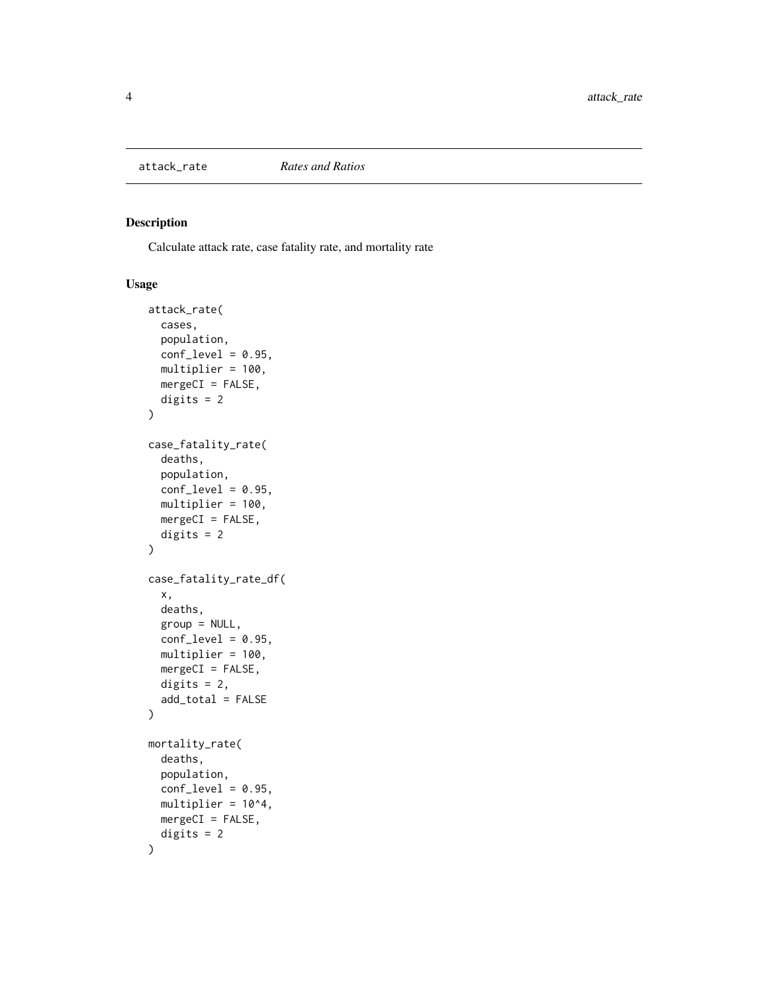<span id="page-3-0"></span>

#### Description

Calculate attack rate, case fatality rate, and mortality rate

#### Usage

```
attack_rate(
  cases,
  population,
  conf\_level = 0.95,
 multiplier = 100,
 mergeCI = FALSE,digits = 2
\mathcal{L}case_fatality_rate(
  deaths,
 population,
  conf\_level = 0.95,
 multiplier = 100,
 mergeCI = FALSE,digits = 2)
case_fatality_rate_df(
  x,
 deaths,
  group = NULL,conf\_level = 0.95,
 multiplier = 100,
 mergeCI = FALSE,digits = 2,
  add_total = FALSE
)
mortality_rate(
  deaths,
  population,
  conf\_level = 0.95,
 multiplier = 10^4,
 mergeCI = FALSE,digits = 2
\mathcal{E}
```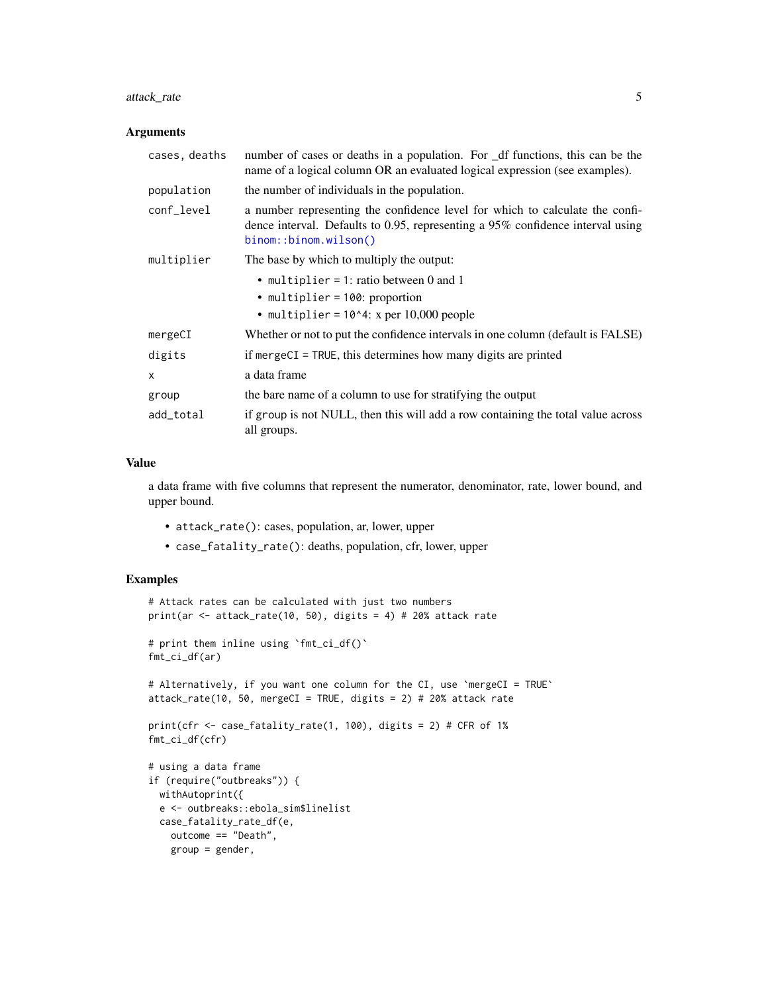#### <span id="page-4-0"></span>attack\_rate 5

#### Arguments

| cases, deaths | number of cases or deaths in a population. For _df functions, this can be the<br>name of a logical column OR an evaluated logical expression (see examples).                            |
|---------------|-----------------------------------------------------------------------------------------------------------------------------------------------------------------------------------------|
| population    | the number of individuals in the population.                                                                                                                                            |
| conf_level    | a number representing the confidence level for which to calculate the confi-<br>dence interval. Defaults to 0.95, representing a 95% confidence interval using<br>binom::binom.wilson() |
| multiplier    | The base by which to multiply the output:                                                                                                                                               |
|               | • multiplier = 1: ratio between 0 and 1                                                                                                                                                 |
|               | • multiplier = 100: proportion                                                                                                                                                          |
|               | • multiplier = $10^4$ : x per $10,000$ people                                                                                                                                           |
| mergeCI       | Whether or not to put the confidence intervals in one column (default is FALSE)                                                                                                         |
| digits        | if mergeCI = TRUE, this determines how many digits are printed                                                                                                                          |
| $\mathsf{x}$  | a data frame                                                                                                                                                                            |
| group         | the bare name of a column to use for stratifying the output                                                                                                                             |
| add_total     | if group is not NULL, then this will add a row containing the total value across<br>all groups.                                                                                         |

#### Value

a data frame with five columns that represent the numerator, denominator, rate, lower bound, and upper bound.

- attack\_rate(): cases, population, ar, lower, upper
- case\_fatality\_rate(): deaths, population, cfr, lower, upper

```
# Attack rates can be calculated with just two numbers
print(ar <- attack_rate(10, 50), digits = 4) # 20% attack rate
# print them inline using `fmt_ci_df()`
fmt_ci_df(ar)
# Alternatively, if you want one column for the CI, use `mergeCI = TRUE`
attack_rate(10, 50, mergeCI = TRUE, digits = 2) # 20% attack rate
print(cfr <- case_fatality_rate(1, 100), digits = 2) # CFR of 1%
fmt_ci_df(cfr)
# using a data frame
if (require("outbreaks")) {
 withAutoprint({
 e <- outbreaks::ebola_sim$linelist
 case_fatality_rate_df(e,
   outcome == "Death",
   group = gender,
```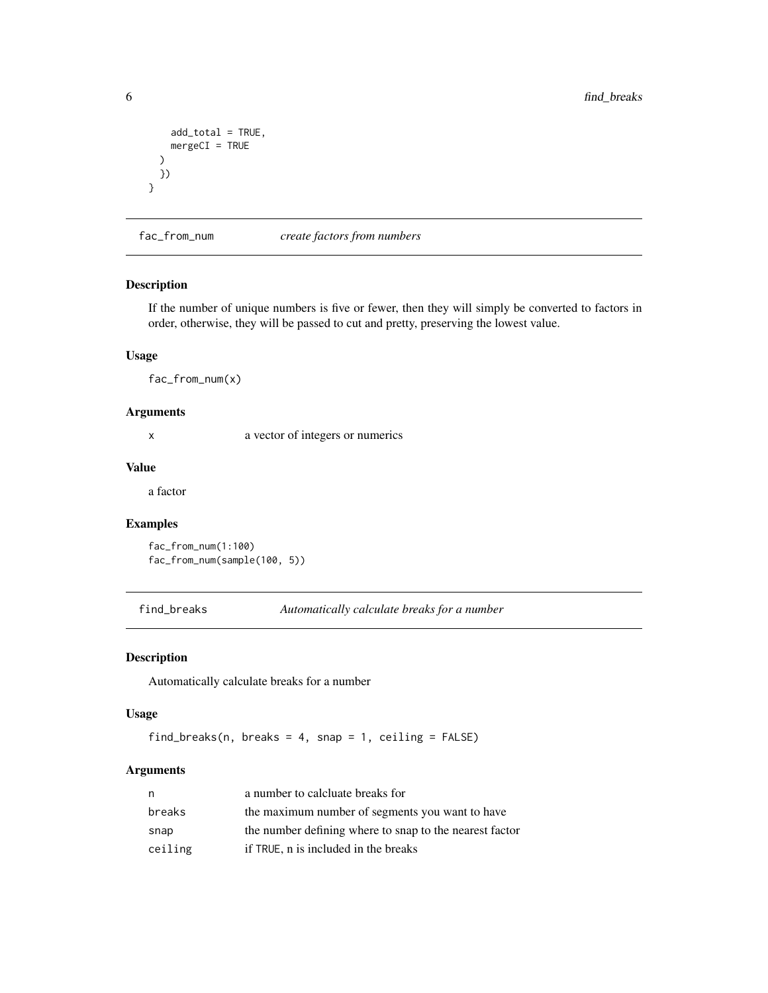```
add_total = TRUE,
   mergeCI = TRUE
 )
 })
}
```
fac\_from\_num *create factors from numbers*

#### Description

If the number of unique numbers is five or fewer, then they will simply be converted to factors in order, otherwise, they will be passed to cut and pretty, preserving the lowest value.

#### Usage

fac\_from\_num(x)

#### Arguments

x a vector of integers or numerics

#### Value

a factor

#### Examples

```
fac_from_num(1:100)
fac_from_num(sample(100, 5))
```
find\_breaks *Automatically calculate breaks for a number*

#### Description

Automatically calculate breaks for a number

#### Usage

```
find_breaks(n, breaks = 4, snap = 1, ceiling = FALSE)
```

| n       | a number to calcluate breaks for                        |
|---------|---------------------------------------------------------|
| breaks  | the maximum number of segments you want to have         |
| snap    | the number defining where to snap to the nearest factor |
| ceiling | if TRUE, n is included in the breaks                    |

<span id="page-5-0"></span>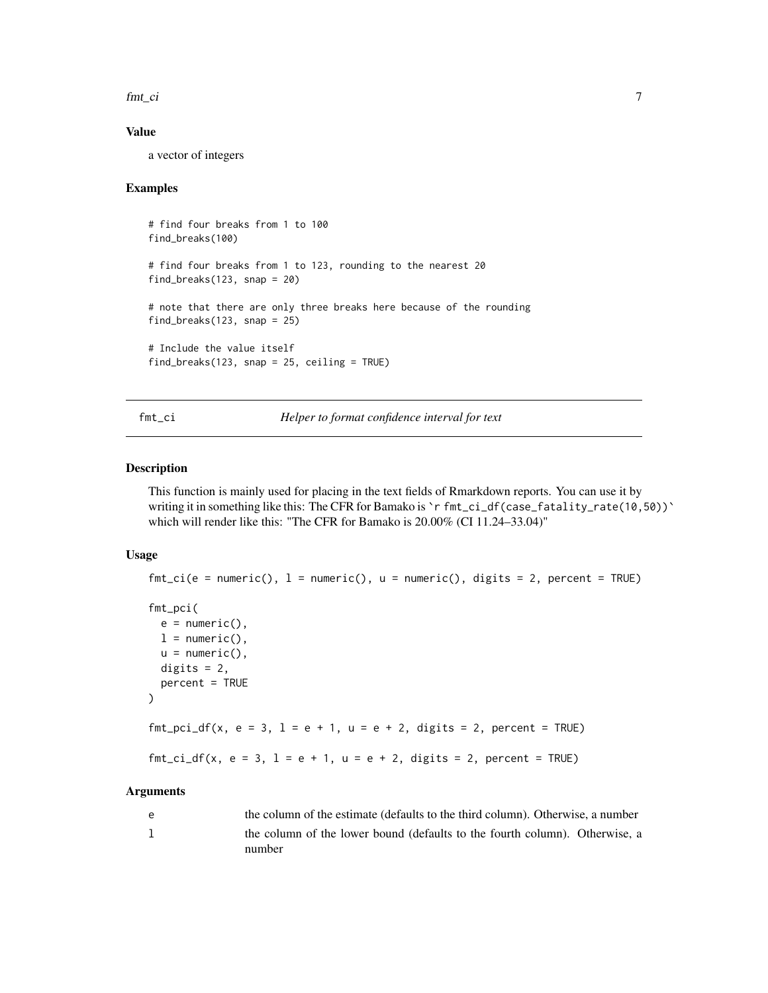<span id="page-6-0"></span>fmt\_ci 7

#### Value

a vector of integers

#### Examples

```
# find four breaks from 1 to 100
find_breaks(100)
# find four breaks from 1 to 123, rounding to the nearest 20
find_breaks(123, snap = 20)
# note that there are only three breaks here because of the rounding
find_breaks(123, snap = 25)
# Include the value itself
find_breaks(123, snap = 25, ceiling = TRUE)
```
fmt\_ci *Helper to format confidence interval for text*

#### Description

This function is mainly used for placing in the text fields of Rmarkdown reports. You can use it by writing it in something like this: The CFR for Bamako is `r fmt\_ci\_df(case\_fatality\_rate(10,50))` which will render like this: "The CFR for Bamako is 20.00% (CI 11.24–33.04)"

#### Usage

```
fmt_ci(e = numeric(), 1 = numeric(), u = numeric(), digits = 2, percent = TRUE)fmt_pci(
 e = numeric(),
 l = numeric(),
 u = numeric(),
 digits = 2,
 percent = TRUE
)
fmt_pci_df(x, e = 3, l = e + 1, u = e + 2, digits = 2, percent = TRUE)
fmt_cci_df(x, e = 3, 1 = e + 1, u = e + 2, digits = 2, percent = TRUE)
```

| e | the column of the estimate (defaults to the third column). Otherwise, a number |
|---|--------------------------------------------------------------------------------|
|   | the column of the lower bound (defaults to the fourth column). Otherwise, a    |
|   | number                                                                         |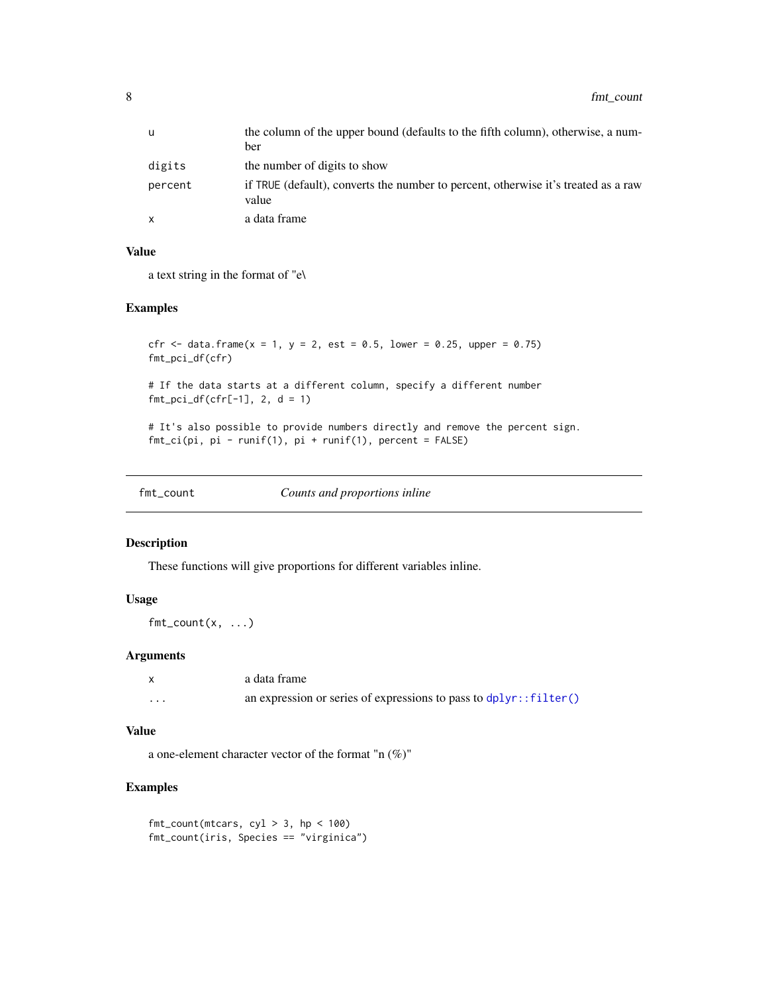<span id="page-7-0"></span>

| u            | the column of the upper bound (defaults to the fifth column), otherwise, a num-             |
|--------------|---------------------------------------------------------------------------------------------|
|              | ber                                                                                         |
| digits       | the number of digits to show                                                                |
| percent      | if TRUE (default), converts the number to percent, otherwise it's treated as a raw<br>value |
| $\mathsf{x}$ | a data frame                                                                                |

#### Value

a text string in the format of "e\

#### Examples

```
cfr <- data.frame(x = 1, y = 2, est = 0.5, lower = 0.25, upper = 0.75)
fmt_pci_df(cfr)
```
# If the data starts at a different column, specify a different number  $fmt\_pci_df(cfr[-1], 2, d = 1)$ 

```
# It's also possible to provide numbers directly and remove the percent sign.
fmt_ci(pi, pi - runif(1), pi + runif(1), percent = FALSE)
```
fmt\_count *Counts and proportions inline*

#### Description

These functions will give proportions for different variables inline.

#### Usage

 $fmt_count(x, ...)$ 

#### Arguments

|   | a data frame                                                        |
|---|---------------------------------------------------------------------|
| . | an expression or series of expressions to pass to $dplyr::filter()$ |

#### Value

a one-element character vector of the format "n (%)"

```
fmt_count(mtcars, cyl > 3, hp < 100)fmt_count(iris, Species == "virginica")
```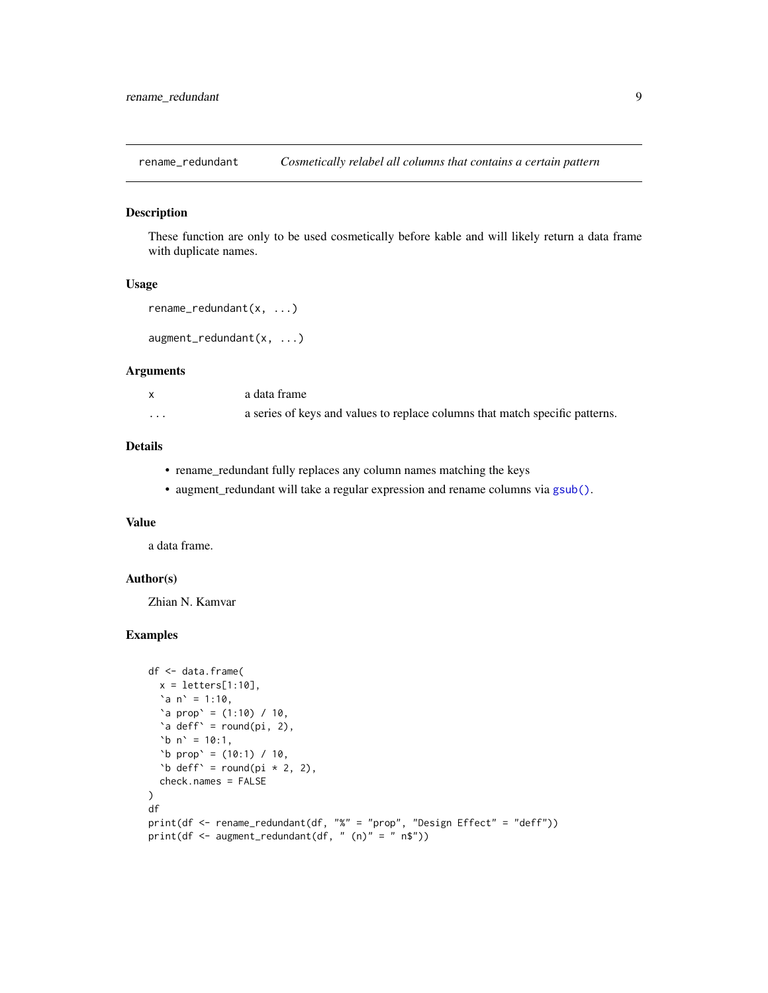<span id="page-8-0"></span>rename\_redundant *Cosmetically relabel all columns that contains a certain pattern*

#### Description

These function are only to be used cosmetically before kable and will likely return a data frame with duplicate names.

#### Usage

```
rename_redundant(x, ...)
```

```
augment_redundant(x, ...)
```
#### Arguments

|          | a data frame                                                                 |
|----------|------------------------------------------------------------------------------|
| $\cdots$ | a series of keys and values to replace columns that match specific patterns. |

#### Details

- rename\_redundant fully replaces any column names matching the keys
- augment\_redundant will take a regular expression and rename columns via [gsub\(\)](#page-0-0).

#### Value

a data frame.

#### Author(s)

Zhian N. Kamvar

```
df <- data.frame(
  x = letters[1:10],a_n = 1:10,
  \text{`a prop' = } (1:10) / 10,\alpha deff\alpha = round(pi, 2),
  `b n` = 10:1,
  \text{b} \text{prop} = (10:1) / 10,
  'b deff' = round(pi * 2, 2),
  check.names = FALSE
\mathcal{L}df
print(df <- rename_redundant(df, "%" = "prop", "Design Effect" = "deff"))
print(df \leq augment_redundant(df, " (n)" = " n$"))
```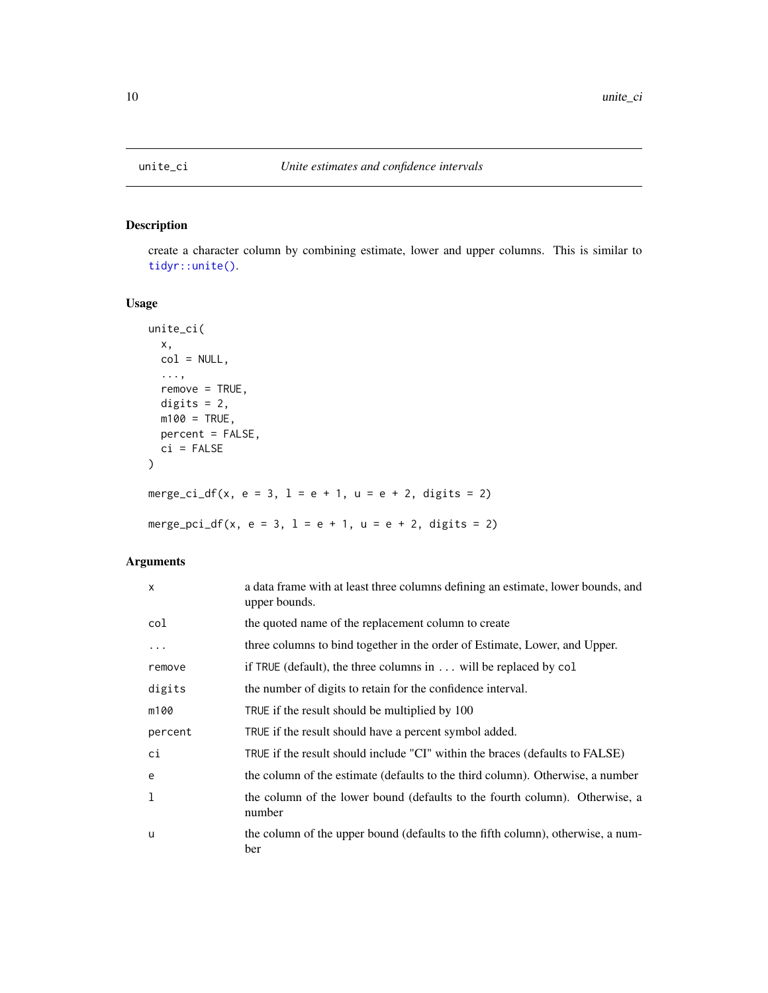<span id="page-9-0"></span>

#### Description

create a character column by combining estimate, lower and upper columns. This is similar to [tidyr::unite\(\)](#page-0-0).

### Usage

```
unite_ci(
  x,
  col = NULL,...,
  remove = TRUE,digits = 2,
  m100 = TRUE,percent = FALSE,
  ci = FALSE\mathcal{L}merge_ci_df(x, e = 3, l = e + 1, u = e + 2, digits = 2)
merge_pci_df(x, e = 3, l = e + 1, u = e + 2, digits = 2)
```

| $\boldsymbol{\mathsf{x}}$ | a data frame with at least three columns defining an estimate, lower bounds, and<br>upper bounds. |
|---------------------------|---------------------------------------------------------------------------------------------------|
| col                       | the quoted name of the replacement column to create                                               |
| .                         | three columns to bind together in the order of Estimate, Lower, and Upper.                        |
| remove                    | if TRUE (default), the three columns in will be replaced by col                                   |
| digits                    | the number of digits to retain for the confidence interval.                                       |
| m100                      | TRUE if the result should be multiplied by 100                                                    |
| percent                   | TRUE if the result should have a percent symbol added.                                            |
| ci                        | TRUE if the result should include "CI" within the braces (defaults to FALSE)                      |
| e                         | the column of the estimate (defaults to the third column). Otherwise, a number                    |
| 1                         | the column of the lower bound (defaults to the fourth column). Otherwise, a<br>number             |
| u                         | the column of the upper bound (defaults to the fifth column), otherwise, a num-<br>ber            |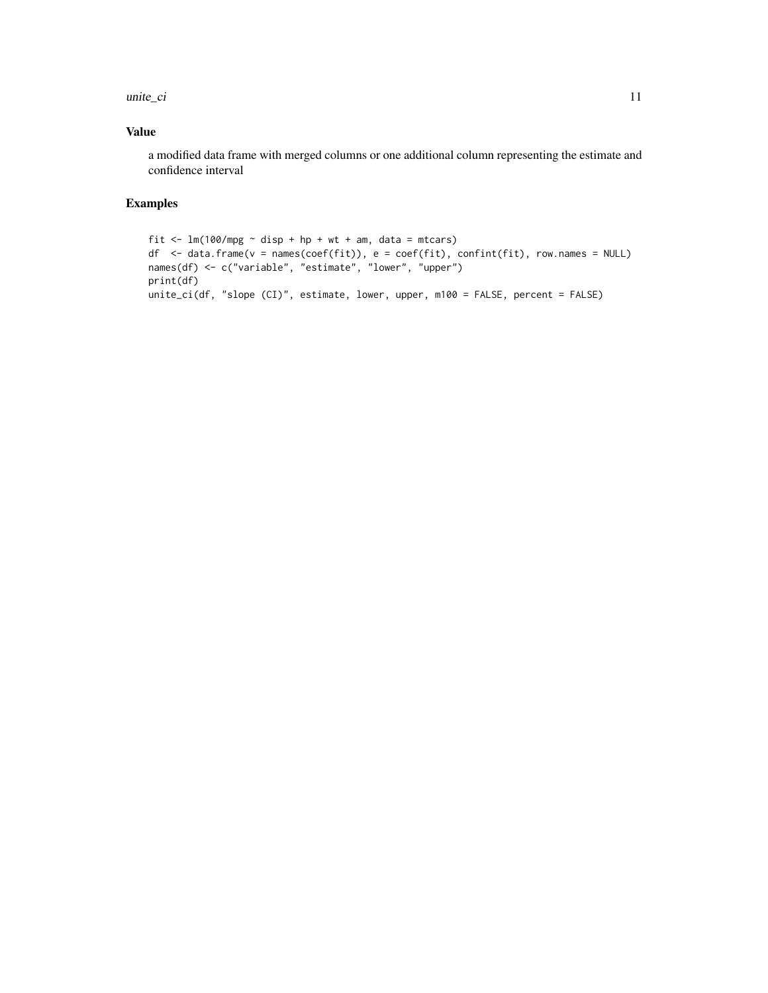unite\_ci 11

#### Value

a modified data frame with merged columns or one additional column representing the estimate and confidence interval

```
fit \leftarrow lm(100/mpg \sim disp + hp + wt + am, data = mtcars)
df <- data.frame(v = names(coef(fit)), e = coef(fit), confint(fit), row.names = NULL)
names(df) <- c("variable", "estimate", "lower", "upper")
print(df)
unite_ci(df, "slope (CI)", estimate, lower, upper, m100 = FALSE, percent = FALSE)
```